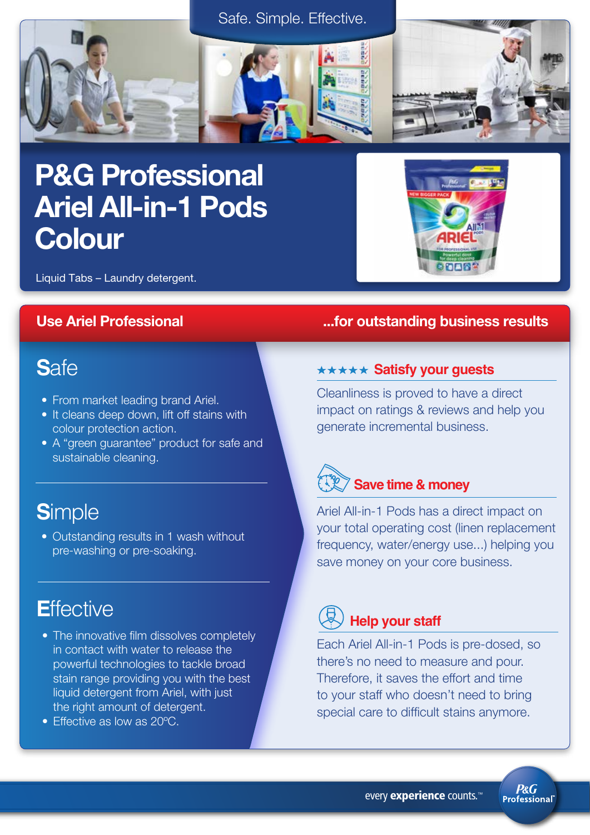



# P&G Professional Ariel All-in-1 Pods **Colour**



Liquid Tabs – Laundry detergent.

## **S**afe

- From market leading brand Ariel.
- It cleans deep down, lift off stains with colour protection action.
- A "green guarantee" product for safe and sustainable cleaning.

## **S**imple

• Outstanding results in 1 wash without pre-washing or pre-soaking.

## **Effective**

- The innovative film dissolves completely in contact with water to release the powerful technologies to tackle broad stain range providing you with the best liquid detergent from Ariel, with just the right amount of detergent.
- Effective as low as 20ºC.

## Use Ariel Professional **Use Ariel Professional**  $\ldots$  for outstanding business results

### **\*\*\*\*\* Satisfy your guests**

Cleanliness is proved to have a direct impact on ratings & reviews and help you generate incremental business.



Ariel All-in-1 Pods has a direct impact on your total operating cost (linen replacement frequency, water/energy use...) helping you save money on your core business.

## **Help your staff**

Each Ariel All-in-1 Pods is pre-dosed, so there's no need to measure and pour. Therefore, it saves the effort and time to your staff who doesn't need to bring special care to difficult stains anymore.